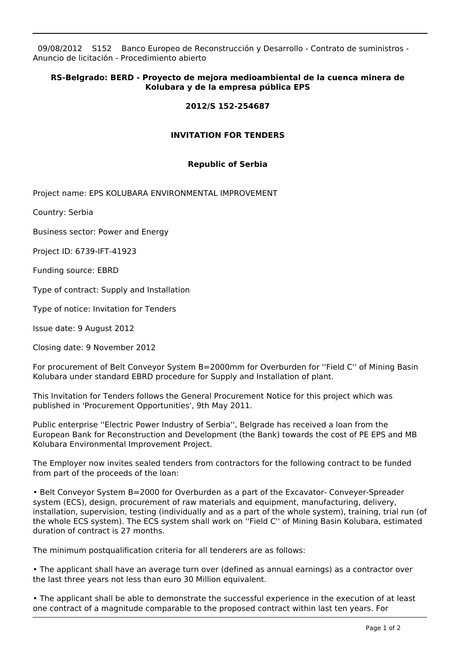09/08/2012 S152 Banco Europeo de Reconstrucción y Desarrollo - Contrato de suministros - Anuncio de licitación - Procedimiento abierto

## **RS-Belgrado: BERD - Proyecto de mejora medioambiental de la cuenca minera de Kolubara y de la empresa pública EPS**

## **2012/S 152-254687**

## **INVITATION FOR TENDERS**

## **Republic of Serbia**

Project name: EPS KOLUBARA ENVIRONMENTAL IMPROVEMENT

Country: Serbia

Business sector: Power and Energy

Project ID: 6739-IFT-41923

Funding source: EBRD

Type of contract: Supply and Installation

Type of notice: Invitation for Tenders

Issue date: 9 August 2012

Closing date: 9 November 2012

For procurement of Belt Conveyor System B=2000mm for Overburden for ''Field C'' of Mining Basin Kolubara under standard EBRD procedure for Supply and Installation of plant.

This Invitation for Tenders follows the General Procurement Notice for this project which was published in 'Procurement Opportunities', 9th May 2011.

Public enterprise ''Electric Power Industry of Serbia'', Belgrade has received a loan from the European Bank for Reconstruction and Development (the Bank) towards the cost of PE EPS and MB Kolubara Environmental Improvement Project.

The Employer now invites sealed tenders from contractors for the following contract to be funded from part of the proceeds of the loan:

• Belt Conveyor System B=2000 for Overburden as a part of the Excavator- Conveyer-Spreader system (ECS), design, procurement of raw materials and equipment, manufacturing, delivery, installation, supervision, testing (individually and as a part of the whole system), training, trial run (of the whole ECS system). The ECS system shall work on ''Field C'' of Mining Basin Kolubara, estimated duration of contract is 27 months.

The minimum postqualification criteria for all tenderers are as follows:

• The applicant shall have an average turn over (defined as annual earnings) as a contractor over the last three years not less than euro 30 Million equivalent.

• The applicant shall be able to demonstrate the successful experience in the execution of at least one contract of a magnitude comparable to the proposed contract within last ten years. For